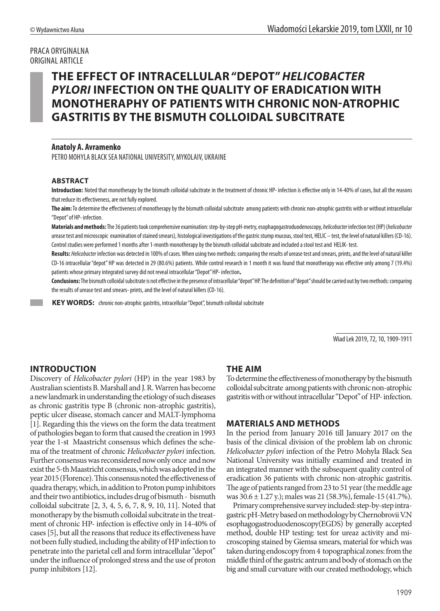## PRACA ORYGINALNA ORIGINAL ARTICLE

# **THE EFFECT OF INTRACELLULAR "DEPOT"** *HELICOBACTER PYLORI* **INFECTION ON THE QUALITY OF ERADICATION WITH MONOTHERAPHY OF PATIENTS WITH CHRONIC NON-ATROPHIC GASTRITIS BY THE BISMUTH COLLOIDAL SUBCITRATE**

## **Anatoly A. Avramenko**

PETRO MOHYLA BLACK SEA NATIONAL UNIVERSITY, MYKOLAIV, UKRAINE

#### **ABSTRACT**

**Introduction:** Noted that monotherapy by the bismuth colloidal subcitrate in the treatment of chronic HP- infection is effective only in 14-40% of cases, but all the reasons that reduce its effectiveness, are not fully explored.

**The aim:** To determine the effectiveness of monotherapy by the bismuth colloidal subcitrate among patients with chronic non-atrophic gastritis with or without intracellular "Depot" of HP- infection.

**Materials and methods:** The 36 patients took comprehensive examination: step-by-step рН-metry, esophagogastroduodenoscopy, *helicobacter* infection test (НР) (*helicobacter* urease test and microscopic examination of stained smears), histological investigations of the gastric stump mucous, stool test, HELIC – test, the level of natural killers (CD-16). Control studies were performed 1 months after 1-month monotherapy by the bismuth colloidal subcitrate and included a stool test and HELIK- test.

**Results:** *Helicobacter* infection was detected in 100% of cases. When using two methods: comparing the results of urease test and smears, prints, and the level of natural killer CD-16 intracellular "depot" HP was detected in 29 (80.6%) patients. While control research in 1 month it was found that monotherapy was effective only among 7 (19.4%) patients whose primary integrated survey did not reveal intracellular "Depot" HP- infection**.**

**Conclusions:** The bismuth colloidal subcitrate is not effective in the presence of intracellular "depot" HP. The definition of "depot" should be carried out by two methods: comparing the results of urease test and smears- prints, and the level of natural killers (CD-16).

 **KEY WORDS:** chronic non-atrophic gastritis, intracellular "Depot", bismuth colloidal subcitrate

Wiad Lek 2019, 72, 10, 1909-1911

## **INTRODUCTION**

Discovery of *Helicobacter pylori* (HP) in the year 1983 by Australian scientists B. Marshall and J. R. Warren has become a new landmark in understanding the etiology of such diseases as chronic gastritis type B (chronic non-atrophic gastritis), peptic ulcer disease, stomach cancer and MALT-lymphoma [1]. Regarding this the views on the form the data treatment of pathologies began to form that caused the creation in 1993 year the 1-st Maastricht consensus which defines the schema of the treatment of chronic *Helicobacter pylori* infection. Further consensus was reconsidered now only once and now exist the 5-th Maastricht consensus, which was adopted in the year 2015 (Florence). This consensus noted the effectiveness of quadra therapy, which, in addition to Proton pump inhibitors and their two antibiotics, includes drug of bismuth - bismuth colloidal subcitrate [2, 3, 4, 5, 6, 7, 8, 9, 10, 11]. Noted that monotherapy by the bismuth colloidal subcitrate in the treatment of chronic HP- infection is effective only in 14-40% of cases [5], but all the reasons that reduce its effectiveness have not been fully studied, including the ability of HP infection to penetrate into the parietal cell and form intracellular "depot" under the influence of prolonged stress and the use of proton pump inhibitors [12].

## **THE AIM**

To determine the effectiveness of monotherapy by the bismuth colloidal subcitrate among patients with chronic non-atrophic gastritis with or without intracellular "Depot" of HP- infection.

## **MATERIALS AND METHODS**

In the period from January 2016 till January 2017 on the basis of the clinical division of the problem lab on chronic *Helicobacter pylori* infection of the Petro Mohyla Black Sea National University was initially examined and treated in an integrated manner with the subsequent quality control of eradication 36 patients with chronic non-atrophic gastritis. The age of patients ranged from 23 to 51 year (the meddle age was 30.6 ± 1.27 y.); males was 21 (58.3%), female-15 (41.7%).

Primary comprehensive survey included: step-by-step intragastric pH-Metry based on methodology by Chernobrovii V.N esophagogastroduodenoscopy(EGDS) by generally accepted method, double HP testing: test for ureaz activity and microscoping stained by Giemsa smears, material for which was taken during endoscopy from 4 topographical zones: from the middle third of the gastric antrum and body of stomach on the big and small curvature with our created methodology, which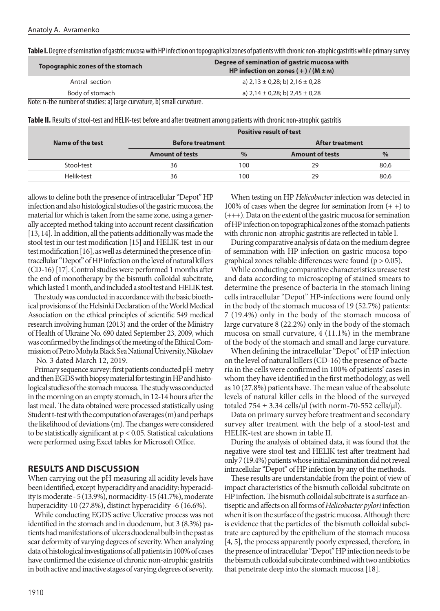**Table I.** Degree of semination of gastric mucosa with HP infection on topographical zones of patients with chronic non-atophic gastritis while primary survey

| Topographic zones of the stomach                                 | Degree of semination of gastric mucosa with<br>HP infection on zones $(+)$ / $(M \pm M)$ |  |
|------------------------------------------------------------------|------------------------------------------------------------------------------------------|--|
| Antral section                                                   | a) $2,13 \pm 0,28$ ; b) $2,16 \pm 0,28$                                                  |  |
| Body of stomach                                                  | a) $2,14 \pm 0,28$ ; b) $2,45 \pm 0,28$                                                  |  |
| Nata n the number of studies a) large supering h) small supering |                                                                                          |  |

Note: n-the number of studies: a) large curvature, b) small curvature.

**Table II.** Results of stool-test and HELIK-test before and after treatment among patients with chronic non-atrophic gastritis

|                  | <b>Positive result of test</b> |      |                        |      |
|------------------|--------------------------------|------|------------------------|------|
| Name of the test | <b>Before treatment</b>        |      | <b>After treatment</b> |      |
|                  | <b>Amount of tests</b>         | $\%$ | <b>Amount of tests</b> | $\%$ |
| Stool-test       | 36                             | 100  | 29                     | 80,6 |
| Helik-test       | 36                             | 100  | 29                     | 80,6 |

allows to define both the presence of intracellular "Depot" HP infection and also histological studies of the gastric mucosa, the material for which is taken from the same zone, using a generally accepted method taking into account recent classification [13, 14]. In addition, all the patients additionally was made the stool test in our test modification [15] and HELIK-test in our test modification [16], as well as determined the presence of intracellular "Depot" of HP infection on the level of natural killers (CD-16) [17]. Control studies were performed 1 months after the end of monotherapy by the bismuth colloidal subcitrate, which lasted 1 month, and included a stool test and HELIK test.

The study was conducted in accordance with the basic bioethical provisions of the Helsinki Declaration of the World Medical Association on the ethical principles of scientific 549 medical research involving human (2013) and the order of the Ministry of Health of Ukraine No. 690 dated September 23, 2009, which was confirmed by the findings of the meeting of the Ethical Commission of Petro Mohyla Black Sea National University, Nikolaev

No. 3 dated March 12, 2019.

Primary sequence survey: first patients conducted pH-metry and then EGDS with biopsy material for testing in HP and histological studies of the stomach mucosa. The study was conducted in the morning on an empty stomach, in 12-14 hours after the last meal. The data obtained were processed statistically using Student t-test with the computation of averages (m) and perhaps the likelihood of deviations (m). The changes were considered to be statistically significant at  $p < 0.05$ . Statistical calculations were performed using Excel tables for Microsoft Office.

## **RESULTS AND DISCUSSION**

When carrying out the pH measuring all acidity levels have been identified, except hyperacidity and anacidity: hyperacidity is moderate - 5 (13.9%), normacidity-15 (41.7%), moderate huperacidity-10 (27.8%), distinct hyperacidity -6 (16.6%).

While conducting EGDS active Ulcerative process was not identified in the stomach and in duodenum, but 3 (8.3%) patients had manifestations of ulcers duodenal bulb in the past as scar deformity of varying degrees of severity. When analyzing data of histological investigations of all patients in 100% of cases have confirmed the existence of chronic non-atrophic gastritis in both active and inactive stages of varying degrees of severity.

When testing on HP *Helicobacter* infection was detected in 100% of cases when the degree for semination from  $(+)$  to (+++). Data on the extent of the gastric mucosa for semination of HP infection on topographical zones of the stomach patients with chronic non-atrophic gastritis are reflected in table I.

During comparative analysis of data on the medium degree of semination with HP infection on gastric mucosa topographical zones reliable differences were found ( $p > 0.05$ ).

While conducting comparative characteristics urease test and data according to microscoping of stained smears to determine the presence of bacteria in the stomach lining cells intracellular "Depot" HP-infections were found only in the body of the stomach mucosa of 19 (52.7%) patients: 7 (19.4%) only in the body of the stomach mucosa of large curvature 8 (22.2%) only in the body of the stomach mucosa on small curvature, 4 (11.1%) in the membrane of the body of the stomach and small and large curvature.

When defining the intracellular "Depot" of HP infection on the level of natural killers (CD-16) the presence of bacteria in the cells were confirmed in 100% of patients' cases in whom they have identified in the first methodology, as well as 10 (27.8%) patients have. The mean value of the absolute levels of natural killer cells in the blood of the surveyed totaled 754  $\pm$  3.34 cells/ $\mu$ l (with norm-70-552 cells/ $\mu$ l).

Data on primary survey before treatment and secondary survey after treatment with the help of a stool-test and HELIK-test are shown in table II.

During the analysis of obtained data, it was found that the negative were stool test and HELIK test after treatment had only 7 (19.4%) patients whose initial examination did not reveal intracellular "Depot" of HP infection by any of the methods.

These results are understandable from the point of view of impact characteristics of the bismuth colloidal subcitrate on HP infection. The bismuth colloidal subcitrate is a surface antiseptic and affects on all forms of *Helicobacter pylori* infection when it is on the surface of the gastric mucosa. Although there is evidence that the particles of the bismuth colloidal subcitrate are captured by the epithelium of the stomach mucosa [4, 5], the process apparently poorly expressed, therefore, in the presence of intracellular "Depot" HP infection needs to be the bismuth colloidal subcitrate combined with two antibiotics that penetrate deep into the stomach mucosa [18].